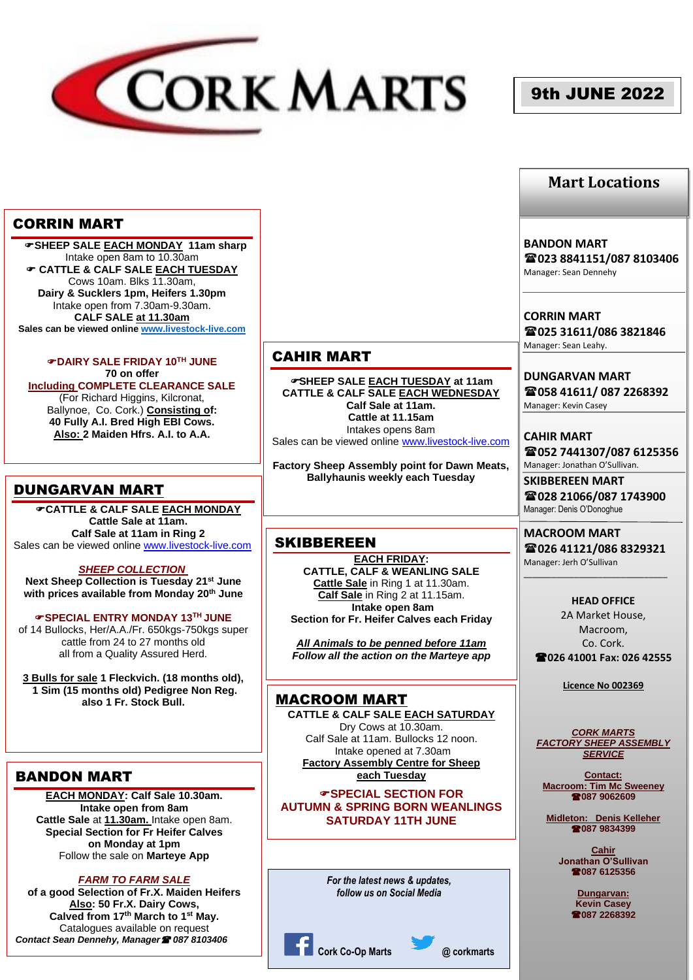

# 9th JUNE 2022

## **Mart Locations**

## CORRIN MART

 **SHEEP SALE EACH MONDAY 11am sharp** Intake open 8am to 10.30am **CATTLE & CALF SALE EACH TUESDAY** Cows 10am. Blks 11.30am, **Dairy & Sucklers 1pm, Heifers 1.30pm** Intake open from 7.30am-9.30am. **CALF SALE at 11.30am Sales can be viewed onlin[e www.livestock-live.com](http://www.livestock-live.com/)**

**DAIRY SALE FRIDAY 10TH JUNE 70 on offer Including COMPLETE CLEARANCE SALE** (For Richard Higgins, Kilcronat, Ballynoe, Co. Cork.) **Consisting of: 40 Fully A.I. Bred High EBI Cows. Also: 2 Maiden Hfrs. A.I. to A.A.**

# DUNGARVAN MART

**CATTLE & CALF SALE EACH MONDAY Cattle Sale at 11am. Calf Sale at 11am in Ring 2** Sales can be viewed online [www.livestock-live.com](http://www.livestock-live.com/)

*SHEEP COLLECTION*

**Next Sheep Collection is Tuesday 21st June with prices available from Monday 20th June**

#### **SPECIAL ENTRY MONDAY 13TH JUNE**

of 14 Bullocks, Her/A.A./Fr. 650kgs-750kgs super cattle from 24 to 27 months old all from a Quality Assured Herd.

**3 Bulls for sale 1 Fleckvich. (18 months old), 1 Sim (15 months old) Pedigree Non Reg. also 1 Fr. Stock Bull.**

## BANDON MART

**EACH MONDAY: Calf Sale 10.30am. Intake open from 8am Cattle Sale** at **11.30am.** Intake open 8am. **Special Section for Fr Heifer Calves on Monday at 1pm** Follow the sale on **Marteye App**

*FARM TO FARM SALE* 

**of a good Selection of Fr.X. Maiden Heifers Also: 50 Fr.X. Dairy Cows, Calved from 17th March to 1st May.** Catalogues available on request *Contact Sean Dennehy, Manager 087 8103406*

## CAHIR MART

**SHEEP SALE EACH TUESDAY at 11am CATTLE & CALF SALE EACH WEDNESDAY Calf Sale at 11am. Cattle at 11.15am** Intakes opens 8am Sales can be viewed online [www.livestock-live.com](http://www.livestock-live.com/)

**Factory Sheep Assembly point for Dawn Meats, Ballyhaunis weekly each Tuesday**

#### **SKIBBEREEN**

**EACH FRIDAY: CATTLE, CALF & WEANLING SALE Cattle Sale** in Ring 1 at 11.30am. **Calf Sale** in Ring 2 at 11.15am. **Intake open 8am Section for Fr. Heifer Calves each Friday**

*All Animals to be penned before 11am Follow all the action on the Marteye app*

## MACROOM MART

**CATTLE & CALF SALE EACH SATURDAY** Dry Cows at 10.30am. Calf Sale at 11am. Bullocks 12 noon. Intake opened at 7.30am **Factory Assembly Centre for Sheep each Tuesday**

*G*SPECIAL SECTION FOR **AUTUMN & SPRING BORN WEANLINGS SATURDAY 11TH JUNE** 

> *For the latest news & updates, follow us on Social Media*



**BANDON MART 023 8841151/087 8103406** Manager: Sean Dennehy

**CORRIN MART 025 31611/086 3821846** Manager: Sean Leahy.

**DUNGARVAN MART 058 41611/ 087 2268392** Manager: Kevin Casey

**CAHIR MART 052 7441307/087 6125356** Manager: Jonathan O'Sullivan.

**SKIBBEREEN MART 028 21066/087 1743900** Manager: Denis O'Donoghue

**MACROOM MART 026 41121/086 8329321** Manager: Jerh O'Sullivan

\_\_\_\_\_\_\_\_\_\_\_\_\_\_\_\_\_\_\_\_\_\_\_\_\_\_\_\_\_\_\_

**HEAD OFFICE** 2A Market House, Macroom, Co. Cork. **026 41001 Fax: 026 42555**

**Licence No 002369**

#### *CORK MARTS FACTORY SHEEP ASSEMBLY SERVICE*

**Contact: Macroom: Tim Mc Sweeney 087 9062609**

**Midleton: Denis Kelleher 087 9834399**

> **Cahir Jonathan O'Sullivan 087 6125356**

> > **Dungarvan: Kevin Casey 087 2268392**